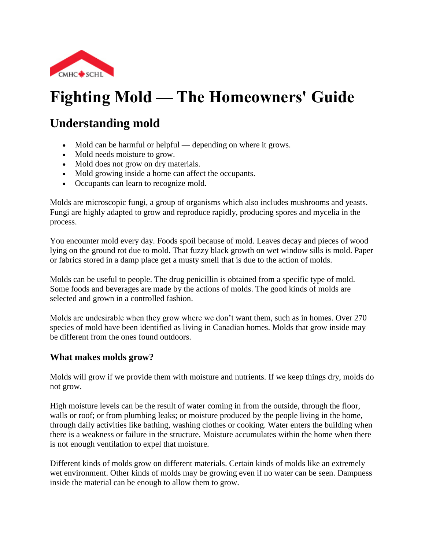

# **Fighting Mold — The Homeowners' Guide**

# **Understanding mold**

- Mold can be harmful or helpful depending on where it grows.
- Mold needs moisture to grow.
- Mold does not grow on dry materials.
- Mold growing inside a home can affect the occupants.
- Occupants can learn to recognize mold.

Molds are microscopic fungi, a group of organisms which also includes mushrooms and yeasts. Fungi are highly adapted to grow and reproduce rapidly, producing spores and mycelia in the process.

You encounter mold every day. Foods spoil because of mold. Leaves decay and pieces of wood lying on the ground rot due to mold. That fuzzy black growth on wet window sills is mold. Paper or fabrics stored in a damp place get a musty smell that is due to the action of molds.

Molds can be useful to people. The drug penicillin is obtained from a specific type of mold. Some foods and beverages are made by the actions of molds. The good kinds of molds are selected and grown in a controlled fashion.

Molds are undesirable when they grow where we don't want them, such as in homes. Over 270 species of mold have been identified as living in Canadian homes. Molds that grow inside may be different from the ones found outdoors.

#### **What makes molds grow?**

Molds will grow if we provide them with moisture and nutrients. If we keep things dry, molds do not grow.

High moisture levels can be the result of water coming in from the outside, through the floor, walls or roof; or from plumbing leaks; or moisture produced by the people living in the home, through daily activities like bathing, washing clothes or cooking. Water enters the building when there is a weakness or failure in the structure. Moisture accumulates within the home when there is not enough ventilation to expel that moisture.

Different kinds of molds grow on different materials. Certain kinds of molds like an extremely wet environment. Other kinds of molds may be growing even if no water can be seen. Dampness inside the material can be enough to allow them to grow.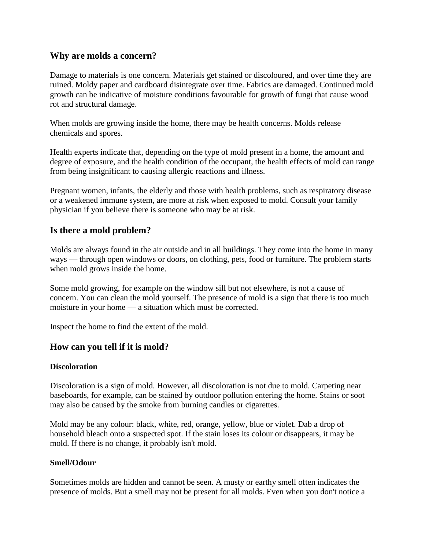#### **Why are molds a concern?**

Damage to materials is one concern. Materials get stained or discoloured, and over time they are ruined. Moldy paper and cardboard disintegrate over time. Fabrics are damaged. Continued mold growth can be indicative of moisture conditions favourable for growth of fungi that cause wood rot and structural damage.

When molds are growing inside the home, there may be health concerns. Molds release chemicals and spores.

Health experts indicate that, depending on the type of mold present in a home, the amount and degree of exposure, and the health condition of the occupant, the health effects of mold can range from being insignificant to causing allergic reactions and illness.

Pregnant women, infants, the elderly and those with health problems, such as respiratory disease or a weakened immune system, are more at risk when exposed to mold. Consult your family physician if you believe there is someone who may be at risk.

#### **Is there a mold problem?**

Molds are always found in the air outside and in all buildings. They come into the home in many ways — through open windows or doors, on clothing, pets, food or furniture. The problem starts when mold grows inside the home.

Some mold growing, for example on the window sill but not elsewhere, is not a cause of concern. You can clean the mold yourself. The presence of mold is a sign that there is too much moisture in your home — a situation which must be corrected.

Inspect the home to find the extent of the mold.

#### **How can you tell if it is mold?**

#### **Discoloration**

Discoloration is a sign of mold. However, all discoloration is not due to mold. Carpeting near baseboards, for example, can be stained by outdoor pollution entering the home. Stains or soot may also be caused by the smoke from burning candles or cigarettes.

Mold may be any colour: black, white, red, orange, yellow, blue or violet. Dab a drop of household bleach onto a suspected spot. If the stain loses its colour or disappears, it may be mold. If there is no change, it probably isn't mold.

#### **Smell/Odour**

Sometimes molds are hidden and cannot be seen. A musty or earthy smell often indicates the presence of molds. But a smell may not be present for all molds. Even when you don't notice a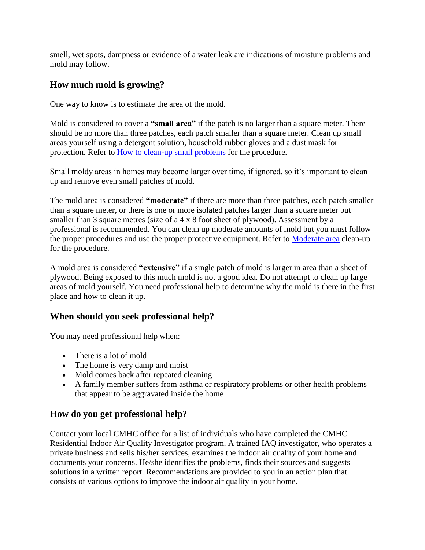smell, wet spots, dampness or evidence of a water leak are indications of moisture problems and mold may follow.

# **How much mold is growing?**

One way to know is to estimate the area of the mold.

Mold is considered to cover a **"small area"** if the patch is no larger than a square meter. There should be no more than three patches, each patch smaller than a square meter. Clean up small areas yourself using a detergent solution, household rubber gloves and a dust mask for protection. Refer to [How to clean-up small problems](http://www.cmhc-schl.gc.ca/en/co/maho/yohoyohe/momo/momo_005.cfm#smallclean) for the procedure.

Small moldy areas in homes may become larger over time, if ignored, so it's important to clean up and remove even small patches of mold.

The mold area is considered **"moderate"** if there are more than three patches, each patch smaller than a square meter, or there is one or more isolated patches larger than a square meter but smaller than 3 square metres (size of a 4 x 8 foot sheet of plywood). Assessment by a professional is recommended. You can clean up moderate amounts of mold but you must follow the proper procedures and use the proper protective equipment. Refer to [Moderate area](http://www.cmhc-schl.gc.ca/en/co/maho/yohoyohe/momo/momo_005.cfm#moderateclean) clean-up for the procedure.

A mold area is considered **"extensive"** if a single patch of mold is larger in area than a sheet of plywood. Being exposed to this much mold is not a good idea. Do not attempt to clean up large areas of mold yourself. You need professional help to determine why the mold is there in the first place and how to clean it up.

# **When should you seek professional help?**

You may need professional help when:

- There is a lot of mold
- The home is very damp and moist
- Mold comes back after repeated cleaning
- A family member suffers from asthma or respiratory problems or other health problems that appear to be aggravated inside the home

#### **How do you get professional help?**

Contact your local CMHC office for a list of individuals who have completed the CMHC Residential Indoor Air Quality Investigator program. A trained IAQ investigator, who operates a private business and sells his/her services, examines the indoor air quality of your home and documents your concerns. He/she identifies the problems, finds their sources and suggests solutions in a written report. Recommendations are provided to you in an action plan that consists of various options to improve the indoor air quality in your home.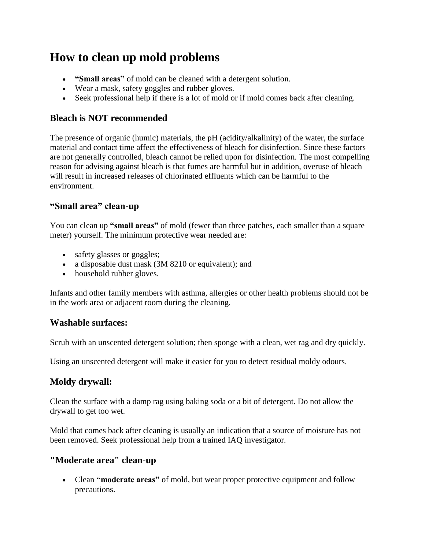# **How to clean up mold problems**

- **"Small areas"** of mold can be cleaned with a detergent solution.
- Wear a mask, safety goggles and rubber gloves.
- Seek professional help if there is a lot of mold or if mold comes back after cleaning.

#### **Bleach is NOT recommended**

The presence of organic (humic) materials, the pH (acidity/alkalinity) of the water, the surface material and contact time affect the effectiveness of bleach for disinfection. Since these factors are not generally controlled, bleach cannot be relied upon for disinfection. The most compelling reason for advising against bleach is that fumes are harmful but in addition, overuse of bleach will result in increased releases of chlorinated effluents which can be harmful to the environment.

### **"Small area" clean-up**

You can clean up **"small areas"** of mold (fewer than three patches, each smaller than a square meter) yourself. The minimum protective wear needed are:

- safety glasses or goggles;
- a disposable dust mask (3M 8210 or equivalent); and
- household rubber gloves.

Infants and other family members with asthma, allergies or other health problems should not be in the work area or adjacent room during the cleaning.

#### **Washable surfaces:**

Scrub with an unscented detergent solution; then sponge with a clean, wet rag and dry quickly.

Using an unscented detergent will make it easier for you to detect residual moldy odours.

### **Moldy drywall:**

Clean the surface with a damp rag using baking soda or a bit of detergent. Do not allow the drywall to get too wet.

Mold that comes back after cleaning is usually an indication that a source of moisture has not been removed. Seek professional help from a trained IAQ investigator.

#### **"Moderate area" clean-up**

 Clean **"moderate areas"** of mold, but wear proper protective equipment and follow precautions.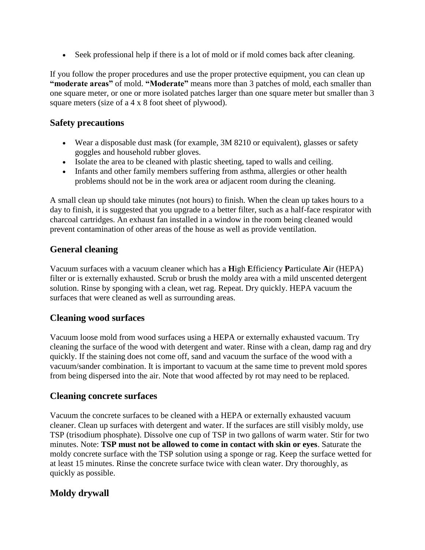Seek professional help if there is a lot of mold or if mold comes back after cleaning.

If you follow the proper procedures and use the proper protective equipment, you can clean up **"moderate areas"** of mold. **"Moderate"** means more than 3 patches of mold, each smaller than one square meter, or one or more isolated patches larger than one square meter but smaller than 3 square meters (size of a 4 x 8 foot sheet of plywood).

#### **Safety precautions**

- Wear a disposable dust mask (for example, 3M 8210 or equivalent), glasses or safety goggles and household rubber gloves.
- Isolate the area to be cleaned with plastic sheeting, taped to walls and ceiling.
- Infants and other family members suffering from asthma, allergies or other health problems should not be in the work area or adjacent room during the cleaning.

A small clean up should take minutes (not hours) to finish. When the clean up takes hours to a day to finish, it is suggested that you upgrade to a better filter, such as a half-face respirator with charcoal cartridges. An exhaust fan installed in a window in the room being cleaned would prevent contamination of other areas of the house as well as provide ventilation.

#### **General cleaning**

Vacuum surfaces with a vacuum cleaner which has a **H**igh **E**fficiency **P**articulate **A**ir (HEPA) filter or is externally exhausted. Scrub or brush the moldy area with a mild unscented detergent solution. Rinse by sponging with a clean, wet rag. Repeat. Dry quickly. HEPA vacuum the surfaces that were cleaned as well as surrounding areas.

#### **Cleaning wood surfaces**

Vacuum loose mold from wood surfaces using a HEPA or externally exhausted vacuum. Try cleaning the surface of the wood with detergent and water. Rinse with a clean, damp rag and dry quickly. If the staining does not come off, sand and vacuum the surface of the wood with a vacuum/sander combination. It is important to vacuum at the same time to prevent mold spores from being dispersed into the air. Note that wood affected by rot may need to be replaced.

#### **Cleaning concrete surfaces**

Vacuum the concrete surfaces to be cleaned with a HEPA or externally exhausted vacuum cleaner. Clean up surfaces with detergent and water. If the surfaces are still visibly moldy, use TSP (trisodium phosphate). Dissolve one cup of TSP in two gallons of warm water. Stir for two minutes. Note: **TSP must not be allowed to come in contact with skin or eyes**. Saturate the moldy concrete surface with the TSP solution using a sponge or rag. Keep the surface wetted for at least 15 minutes. Rinse the concrete surface twice with clean water. Dry thoroughly, as quickly as possible.

#### **Moldy drywall**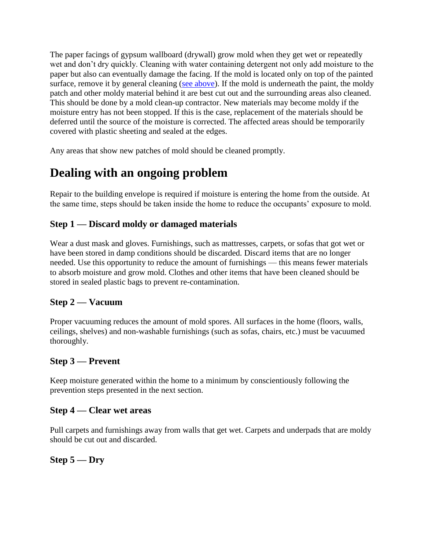The paper facings of gypsum wallboard (drywall) grow mold when they get wet or repeatedly wet and don't dry quickly. Cleaning with water containing detergent not only add moisture to the paper but also can eventually damage the facing. If the mold is located only on top of the painted surface, remove it by general cleaning [\(see above\)](http://www.cmhc-schl.gc.ca/en/co/maho/yohoyohe/momo/momo_005.cfm#generalclean). If the mold is underneath the paint, the moldy patch and other moldy material behind it are best cut out and the surrounding areas also cleaned. This should be done by a mold clean-up contractor. New materials may become moldy if the moisture entry has not been stopped. If this is the case, replacement of the materials should be deferred until the source of the moisture is corrected. The affected areas should be temporarily covered with plastic sheeting and sealed at the edges.

Any areas that show new patches of mold should be cleaned promptly.

# **Dealing with an ongoing problem**

Repair to the building envelope is required if moisture is entering the home from the outside. At the same time, steps should be taken inside the home to reduce the occupants' exposure to mold.

### **Step 1 — Discard moldy or damaged materials**

Wear a dust mask and gloves. Furnishings, such as mattresses, carpets, or sofas that got wet or have been stored in damp conditions should be discarded. Discard items that are no longer needed. Use this opportunity to reduce the amount of furnishings — this means fewer materials to absorb moisture and grow mold. Clothes and other items that have been cleaned should be stored in sealed plastic bags to prevent re-contamination.

### **Step 2 — Vacuum**

Proper vacuuming reduces the amount of mold spores. All surfaces in the home (floors, walls, ceilings, shelves) and non-washable furnishings (such as sofas, chairs, etc.) must be vacuumed thoroughly.

### **Step 3 — Prevent**

Keep moisture generated within the home to a minimum by conscientiously following the prevention steps presented in the next section.

#### **Step 4 — Clear wet areas**

Pull carpets and furnishings away from walls that get wet. Carpets and underpads that are moldy should be cut out and discarded.

#### **Step 5 — Dry**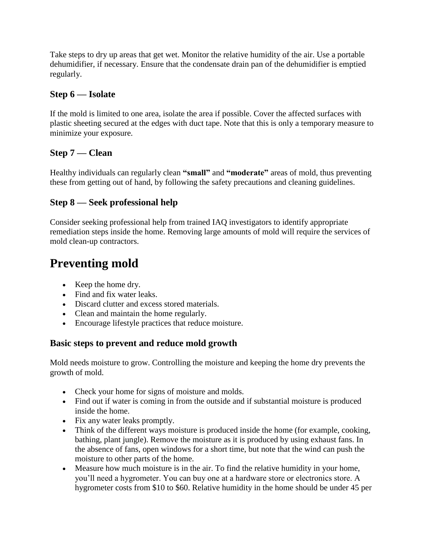Take steps to dry up areas that get wet. Monitor the relative humidity of the air. Use a portable dehumidifier, if necessary. Ensure that the condensate drain pan of the dehumidifier is emptied regularly.

#### **Step 6 — Isolate**

If the mold is limited to one area, isolate the area if possible. Cover the affected surfaces with plastic sheeting secured at the edges with duct tape. Note that this is only a temporary measure to minimize your exposure.

### **Step 7 — Clean**

Healthy individuals can regularly clean **"small"** and **"moderate"** areas of mold, thus preventing these from getting out of hand, by following the safety precautions and cleaning guidelines.

### **Step 8 — Seek professional help**

Consider seeking professional help from trained IAQ investigators to identify appropriate remediation steps inside the home. Removing large amounts of mold will require the services of mold clean-up contractors.

# **Preventing mold**

- Keep the home dry.
- Find and fix water leaks.
- Discard clutter and excess stored materials.
- Clean and maintain the home regularly.
- Encourage lifestyle practices that reduce moisture.

### **Basic steps to prevent and reduce mold growth**

Mold needs moisture to grow. Controlling the moisture and keeping the home dry prevents the growth of mold.

- Check your home for signs of moisture and molds.
- Find out if water is coming in from the outside and if substantial moisture is produced inside the home.
- Fix any water leaks promptly.
- Think of the different ways moisture is produced inside the home (for example, cooking, bathing, plant jungle). Remove the moisture as it is produced by using exhaust fans. In the absence of fans, open windows for a short time, but note that the wind can push the moisture to other parts of the home.
- Measure how much moisture is in the air. To find the relative humidity in your home, you'll need a hygrometer. You can buy one at a hardware store or electronics store. A hygrometer costs from \$10 to \$60. Relative humidity in the home should be under 45 per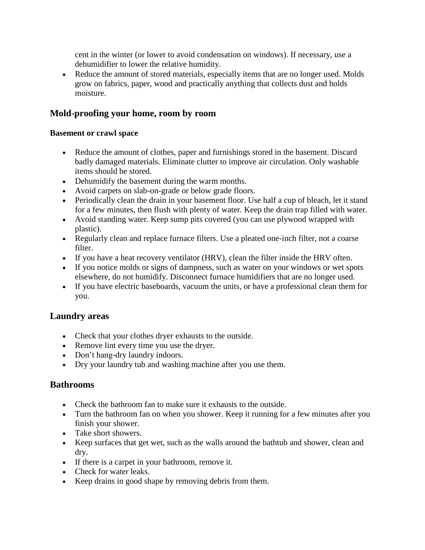cent in the winter (or lower to avoid condensation on windows). If necessary, use a dehumidifier to lower the relative humidity.

• Reduce the amount of stored materials, especially items that are no longer used. Molds grow on fabrics, paper, wood and practically anything that collects dust and holds moisture.

#### **Mold-proofing your home, room by room**

#### **Basement or crawl space**

- Reduce the amount of clothes, paper and furnishings stored in the basement. Discard badly damaged materials. Eliminate clutter to improve air circulation. Only washable items should be stored.
- Dehumidify the basement during the warm months.
- Avoid carpets on slab-on-grade or below grade floors.
- Periodically clean the drain in your basement floor. Use half a cup of bleach, let it stand for a few minutes, then flush with plenty of water. Keep the drain trap filled with water.
- Avoid standing water. Keep sump pits covered (you can use plywood wrapped with plastic).
- Regularly clean and replace furnace filters. Use a pleated one-inch filter, not a coarse filter.
- If you have a heat recovery ventilator (HRV), clean the filter inside the HRV often.
- If you notice molds or signs of dampness, such as water on your windows or wet spots elsewhere, do not humidify. Disconnect furnace humidifiers that are no longer used.
- If you have electric baseboards, vacuum the units, or have a professional clean them for you.

#### **Laundry areas**

- Check that your clothes dryer exhausts to the outside.
- Remove lint every time you use the dryer.
- Don't hang-dry laundry indoors.
- Dry your laundry tub and washing machine after you use them.

#### **Bathrooms**

- Check the bathroom fan to make sure it exhausts to the outside.
- Turn the bathroom fan on when you shower. Keep it running for a few minutes after you finish your shower.
- Take short showers.
- Keep surfaces that get wet, such as the walls around the bathtub and shower, clean and dry.
- If there is a carpet in your bathroom, remove it.
- Check for water leaks.
- Keep drains in good shape by removing debris from them.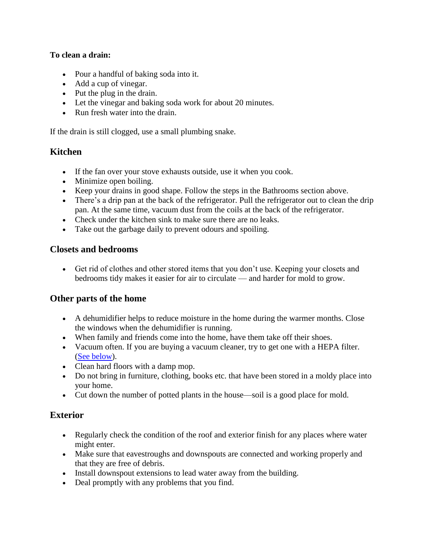#### **To clean a drain:**

- Pour a handful of baking soda into it.
- Add a cup of vinegar.
- Put the plug in the drain.
- Let the vinegar and baking soda work for about 20 minutes.
- Run fresh water into the drain.

If the drain is still clogged, use a small plumbing snake.

#### **Kitchen**

- If the fan over your stove exhausts outside, use it when you cook.
- Minimize open boiling.
- Keep your drains in good shape. Follow the steps in the Bathrooms section above.
- There's a drip pan at the back of the refrigerator. Pull the refrigerator out to clean the drip pan. At the same time, vacuum dust from the coils at the back of the refrigerator.
- Check under the kitchen sink to make sure there are no leaks.
- Take out the garbage daily to prevent odours and spoiling.

#### **Closets and bedrooms**

 Get rid of clothes and other stored items that you don't use. Keeping your closets and bedrooms tidy makes it easier for air to circulate — and harder for mold to grow.

#### **Other parts of the home**

- A dehumidifier helps to reduce moisture in the home during the warmer months. Close the windows when the dehumidifier is running.
- When family and friends come into the home, have them take off their shoes.
- Vacuum often. If you are buying a vacuum cleaner, try to get one with a HEPA filter. [\(See below\)](http://www.cmhc-schl.gc.ca/en/co/maho/yohoyohe/momo/momo_005.cfm#hepa).
- Clean hard floors with a damp mop.
- Do not bring in furniture, clothing, books etc. that have been stored in a moldy place into your home.
- Cut down the number of potted plants in the house—soil is a good place for mold.

#### **Exterior**

- Regularly check the condition of the roof and exterior finish for any places where water might enter.
- Make sure that eavestroughs and downspouts are connected and working properly and that they are free of debris.
- Install downspout extensions to lead water away from the building.
- Deal promptly with any problems that you find.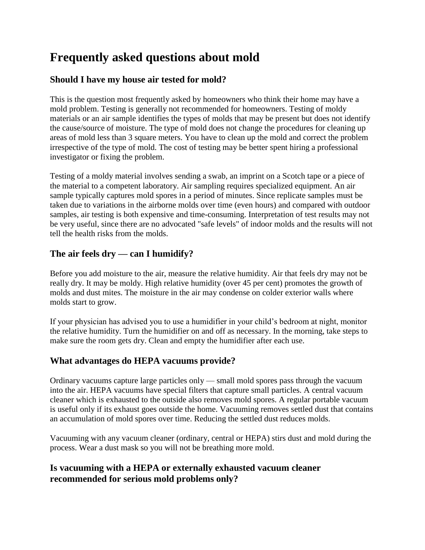# **Frequently asked questions about mold**

# **Should I have my house air tested for mold?**

This is the question most frequently asked by homeowners who think their home may have a mold problem. Testing is generally not recommended for homeowners. Testing of moldy materials or an air sample identifies the types of molds that may be present but does not identify the cause/source of moisture. The type of mold does not change the procedures for cleaning up areas of mold less than 3 square meters. You have to clean up the mold and correct the problem irrespective of the type of mold. The cost of testing may be better spent hiring a professional investigator or fixing the problem.

Testing of a moldy material involves sending a swab, an imprint on a Scotch tape or a piece of the material to a competent laboratory. Air sampling requires specialized equipment. An air sample typically captures mold spores in a period of minutes. Since replicate samples must be taken due to variations in the airborne molds over time (even hours) and compared with outdoor samples, air testing is both expensive and time-consuming. Interpretation of test results may not be very useful, since there are no advocated "safe levels" of indoor molds and the results will not tell the health risks from the molds.

# **The air feels dry — can I humidify?**

Before you add moisture to the air, measure the relative humidity. Air that feels dry may not be really dry. It may be moldy. High relative humidity (over 45 per cent) promotes the growth of molds and dust mites. The moisture in the air may condense on colder exterior walls where molds start to grow.

If your physician has advised you to use a humidifier in your child's bedroom at night, monitor the relative humidity. Turn the humidifier on and off as necessary. In the morning, take steps to make sure the room gets dry. Clean and empty the humidifier after each use.

### **What advantages do HEPA vacuums provide?**

Ordinary vacuums capture large particles only — small mold spores pass through the vacuum into the air. HEPA vacuums have special filters that capture small particles. A central vacuum cleaner which is exhausted to the outside also removes mold spores. A regular portable vacuum is useful only if its exhaust goes outside the home. Vacuuming removes settled dust that contains an accumulation of mold spores over time. Reducing the settled dust reduces molds.

Vacuuming with any vacuum cleaner (ordinary, central or HEPA) stirs dust and mold during the process. Wear a dust mask so you will not be breathing more mold.

### **Is vacuuming with a HEPA or externally exhausted vacuum cleaner recommended for serious mold problems only?**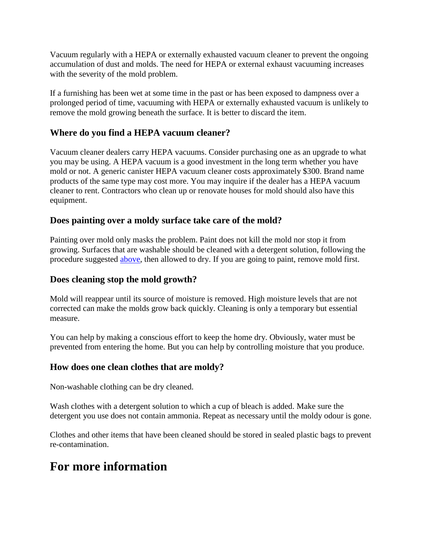Vacuum regularly with a HEPA or externally exhausted vacuum cleaner to prevent the ongoing accumulation of dust and molds. The need for HEPA or external exhaust vacuuming increases with the severity of the mold problem.

If a furnishing has been wet at some time in the past or has been exposed to dampness over a prolonged period of time, vacuuming with HEPA or externally exhausted vacuum is unlikely to remove the mold growing beneath the surface. It is better to discard the item.

#### **Where do you find a HEPA vacuum cleaner?**

Vacuum cleaner dealers carry HEPA vacuums. Consider purchasing one as an upgrade to what you may be using. A HEPA vacuum is a good investment in the long term whether you have mold or not. A generic canister HEPA vacuum cleaner costs approximately \$300. Brand name products of the same type may cost more. You may inquire if the dealer has a HEPA vacuum cleaner to rent. Contractors who clean up or renovate houses for mold should also have this equipment.

#### **Does painting over a moldy surface take care of the mold?**

Painting over mold only masks the problem. Paint does not kill the mold nor stop it from growing. Surfaces that are washable should be cleaned with a detergent solution, following the procedure suggested [above,](http://www.cmhc-schl.gc.ca/en/co/maho/yohoyohe/momo/momo_005.cfm#generalclean) then allowed to dry. If you are going to paint, remove mold first.

#### **Does cleaning stop the mold growth?**

Mold will reappear until its source of moisture is removed. High moisture levels that are not corrected can make the molds grow back quickly. Cleaning is only a temporary but essential measure.

You can help by making a conscious effort to keep the home dry. Obviously, water must be prevented from entering the home. But you can help by controlling moisture that you produce.

#### **How does one clean clothes that are moldy?**

Non-washable clothing can be dry cleaned.

Wash clothes with a detergent solution to which a cup of bleach is added. Make sure the detergent you use does not contain ammonia. Repeat as necessary until the moldy odour is gone.

Clothes and other items that have been cleaned should be stored in sealed plastic bags to prevent re-contamination.

# **For more information**